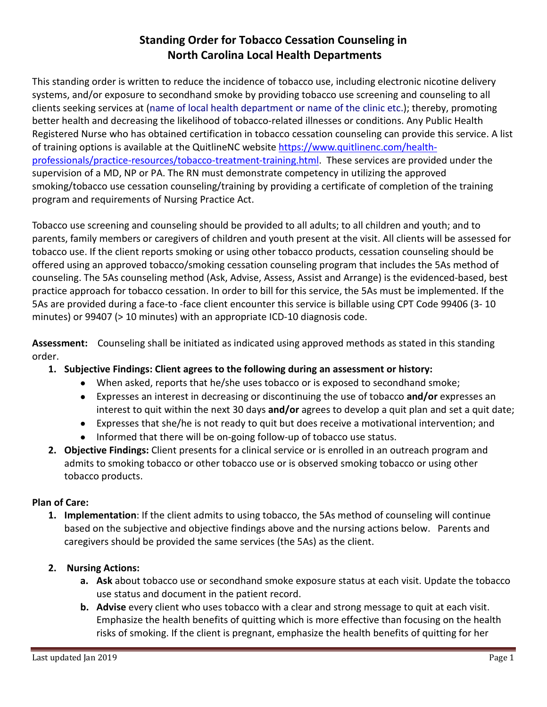# **Standing Order for Tobacco Cessation Counseling in North Carolina Local Health Departments**

This standing order is written to reduce the incidence of tobacco use, including electronic nicotine delivery systems, and/or exposure to secondhand smoke by providing tobacco use screening and counseling to all clients seeking services at (name of local health department or name of the clinic etc.); thereby, promoting better health and decreasing the likelihood of tobacco-related illnesses or conditions. Any Public Health Registered Nurse who has obtained certification in tobacco cessation counseling can provide this service. A list of training options is available at the QuitlineNC website [https://www.quitlinenc.com/health](https://www.quitlinenc.com/health-professionals/practice-resources/tobacco-treatment-training.html)[professionals/practice-resources/tobacco-treatment-training.html.](https://www.quitlinenc.com/health-professionals/practice-resources/tobacco-treatment-training.html) These services are provided under the supervision of a MD, NP or PA. The RN must demonstrate competency in utilizing the approved smoking/tobacco use cessation counseling/training by providing a certificate of completion of the training program and requirements of Nursing Practice Act.

Tobacco use screening and counseling should be provided to all adults; to all children and youth; and to parents, family members or caregivers of children and youth present at the visit. All clients will be assessed for tobacco use. If the client reports smoking or using other tobacco products, cessation counseling should be offered using an approved tobacco/smoking cessation counseling program that includes the 5As method of counseling. The 5As counseling method (Ask, Advise, Assess, Assist and Arrange) is the evidenced-based, best practice approach for tobacco cessation. In order to bill for this service, the 5As must be implemented. If the 5As are provided during a face-to -face client encounter this service is billable using CPT Code 99406 (3- 10 minutes) or 99407 (> 10 minutes) with an appropriate ICD-10 diagnosis code.

**Assessment:** Counseling shall be initiated as indicated using approved methods as stated in this standing order.

- **1. Subjective Findings: Client agrees to the following during an assessment or history:**
	- When asked, reports that he/she uses tobacco or is exposed to secondhand smoke;
	- Expresses an interest in decreasing or discontinuing the use of tobacco **and/or** expresses an interest to quit within the next 30 days **and/or** agrees to develop a quit plan and set a quit date;
	- Expresses that she/he is not ready to quit but does receive a motivational intervention; and
	- Informed that there will be on-going follow-up of tobacco use status.
- **2. Objective Findings:** Client presents for a clinical service or is enrolled in an outreach program and admits to smoking tobacco or other tobacco use or is observed smoking tobacco or using other tobacco products.

#### **Plan of Care:**

- **1. Implementation**: If the client admits to using tobacco, the 5As method of counseling will continue based on the subjective and objective findings above and the nursing actions below. Parents and caregivers should be provided the same services (the 5As) as the client.
- **2. Nursing Actions:** 
	- **a. Ask** about tobacco use or secondhand smoke exposure status at each visit. Update the tobacco use status and document in the patient record.
	- **b.** Advise every client who uses tobacco with a clear and strong message to quit at each visit. Emphasize the health benefits of quitting which is more effective than focusing on the health risks of smoking. If the client is pregnant, emphasize the health benefits of quitting for her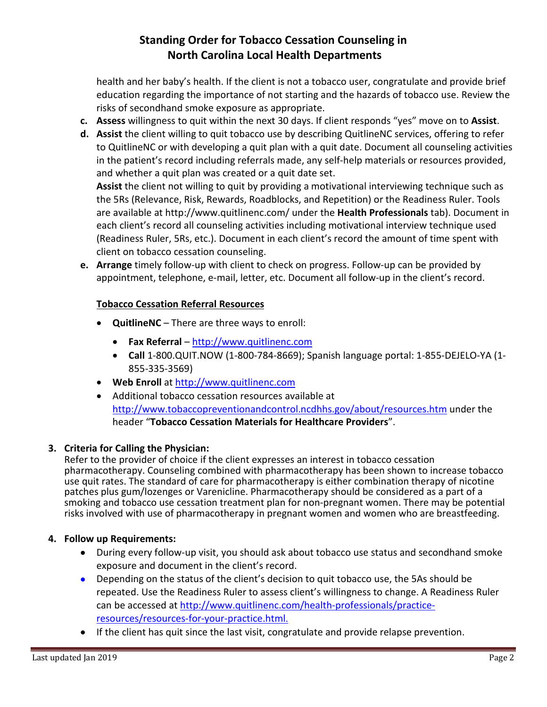# **Standing Order for Tobacco Cessation Counseling in North Carolina Local Health Departments**

health and her baby's health. If the client is not a tobacco user, congratulate and provide brief education regarding the importance of not starting and the hazards of tobacco use. Review the risks of secondhand smoke exposure as appropriate.

- **c. Assess** willingness to quit within the next 30 days. If client responds "yes" move on to **Assist**.
- **d. Assist** the client willing to quit tobacco use by describing QuitlineNC services, offering to refer to QuitlineNC or with developing a quit plan with a quit date. Document all counseling activities in the patient's record including referrals made, any self-help materials or resources provided, and whether a quit plan was created or a quit date set.

**Assist** the client not willing to quit by providing a motivational interviewing technique such as the 5Rs (Relevance, Risk, Rewards, Roadblocks, and Repetition) or the Readiness Ruler. Tools are available at<http://www.quitlinenc.com/> under the **Health Professionals** tab). Document in each client's record all counseling activities including motivational interview technique used (Readiness Ruler, 5Rs, etc.). Document in each client's record the amount of time spent with client on tobacco cessation counseling.

**e. Arrange** timely follow-up with client to check on progress. Follow-up can be provided by appointment, telephone, e-mail, letter, etc. Document all follow-up in the client's record.

### **Tobacco Cessation Referral Resources**

- **QuitlineNC**  There are three ways to enroll:
	- **Fax Referral** [http://www.quitlinenc.com](http://www.quitlinenc.com/)
	- **Call** 1-800.QUIT.NOW (1-800-784-8669); Spanish language portal: 1-855-DEJELO-YA (1- 855-335-3569)
- **Web Enroll** at [http://www.quitlinenc.com](http://www.quitlinenc.com/)
- Additional tobacco cessation resources available at <http://www.tobaccopreventionandcontrol.ncdhhs.gov/about/resources.htm> under the header "**Tobacco Cessation Materials for Healthcare Providers**".

#### **3. Criteria for Calling the Physician:**

Refer to the provider of choice if the client expresses an interest in tobacco cessation pharmacotherapy. Counseling combined with pharmacotherapy has been shown to increase tobacco use quit rates. The standard of care for pharmacotherapy is either combination therapy of nicotine patches plus gum/lozenges or Varenicline. Pharmacotherapy should be considered as a part of a smoking and tobacco use cessation treatment plan for non-pregnant women. There may be potential risks involved with use of pharmacotherapy in pregnant women and women who are breastfeeding.

#### **4. Follow up Requirements:**

- During every follow-up visit, you should ask about tobacco use status and secondhand smoke exposure and document in the client's record.
- Depending on the status of the client's decision to quit tobacco use, the 5As should be repeated. Use the Readiness Ruler to assess client's willingness to change. A Readiness Ruler can be accessed at [http://www.quitlinenc.com/health-professionals/practice](http://www.quitlinenc.com/health-professionals/practice-resources/resources-for-your-practice.html)[resources/resources-for-your-practice.html](http://www.quitlinenc.com/health-professionals/practice-resources/resources-for-your-practice.html).
- If the client has quit since the last visit, congratulate and provide relapse prevention.